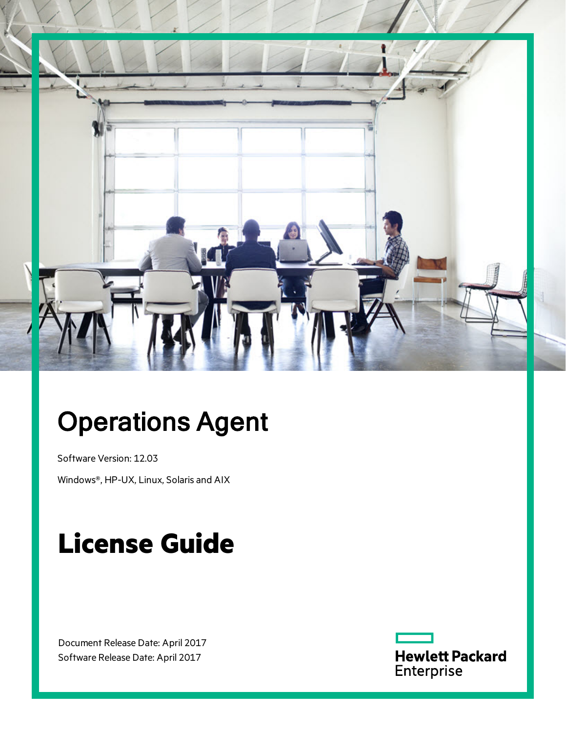

# Operations Agent

Software Version: 12.03

Windows®, HP-UX, Linux, Solaris and AIX

# **License Guide**

Document Release Date: April 2017 Software Release Date: April 2017

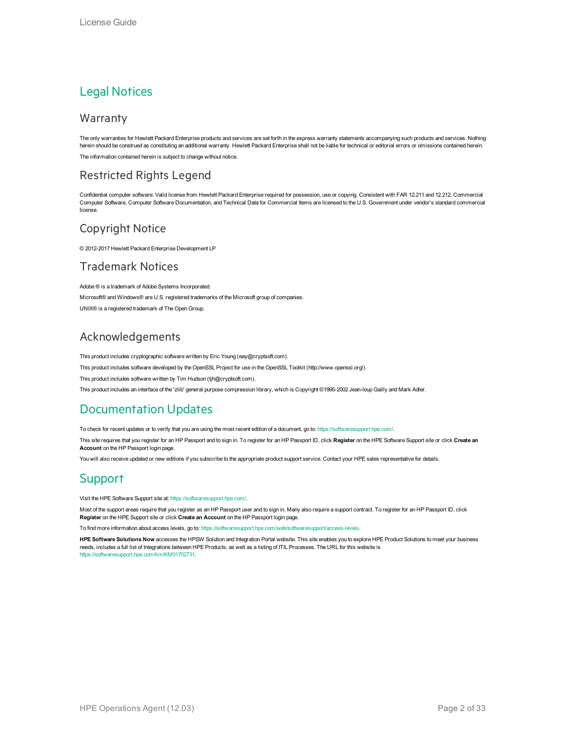#### Legal Notices

#### Warranty

The only warranties for Hewlett Packard Enterprise products and services are set forth in the express warranty statements accompanying such products and services. Nothing herein should be construed as constituting an additional warranty. Hewlett Packard Enterprise shall not be liable for technical or editorial errors or omissions contained herein. The information contained herein is subject to change without notice.

#### Restricted Rights Legend

Confidential computer software. Valid license from Hewlett Packard Enterprise required for possession, use or copying. Consistent with FAR 12.211 and 12.212, Commercial Computer Software, Computer Software Documentation, and Technical Data for Commercial Items are licensed to the U.S. Government under vendor's standard commercial license.

#### Copyright Notice

© 2012-2017 Hewlett Packard Enterprise Development LP

#### Trademark Notices

Adobe ® is a trademark of Adobe Systems Incorporated. Microsoft® and Windows® are U.S. registered trademarks of the Microsoft group of companies. UNIX® is a registered trademark of The Open Group.

#### Acknowledgements

This product includes cryptographic software written by Eric Young (eay@cryptsoft.com).

This product includes software developed by the OpenSSL Project for use in the OpenSSL Toolkit (http://www.openssl.org/).

This product includes software written by Tim Hudson (tjh@cryptsoft.com).

This product includes an interface of the 'zlib' general purpose compression library, which is Copyright ©1995-2002 Jean-loup Gailly and Mark Adler.

#### Documentation Updates

To check for recent updates or to verify that you are using the most recent edition of a document, go to: <https://softwaresupport.hpe.com/>.

This site requires that you register for an HP Passport and to sign in. To register for an HP Passport ID, click **Register** on the HPE Software Support site or click **Create an Account** on the HP Passport login page.

You will also receive updated or new editions if you subscribe to the appropriate product support service. Contact your HPE sales representative for details.

#### **Support**

Visit the HPE Software Support site at: <https://softwaresupport.hpe.com/>.

Most of the support areas require that you register as an HP Passport user and to sign in. Many also require a support contract. To register for an HP Passport ID, click **Register** on the HPE Support site or click **Create an Account** on the HP Passport login page.

To find more information about access levels, go to: <https://softwaresupport.hpe.com/web/softwaresupport/access-levels>.

**HPE Software Solutions Now** accesses the HPSW Solution and Integration Portal website. This site enables you to explore HPE Product Solutions to meet your business needs, includes a full list of Integrations between HPE Products, as well as a listing of ITIL Processes. The URL for this website is [https://softwaresupport.hpe.com/km/KM01702731.](https://softwaresupport.hpe.com/km/KM01702731)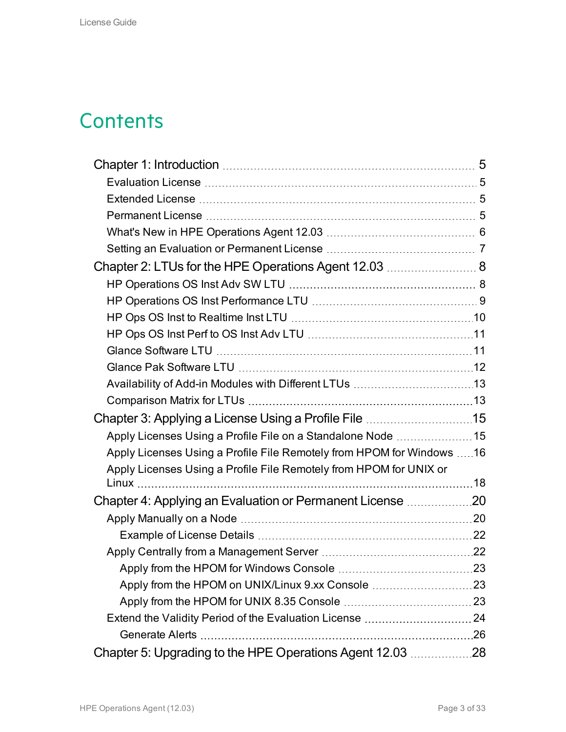## **Contents**

| Chapter 2: LTUs for the HPE Operations Agent 12.03  8                 |      |
|-----------------------------------------------------------------------|------|
|                                                                       |      |
|                                                                       |      |
|                                                                       |      |
|                                                                       |      |
|                                                                       |      |
|                                                                       |      |
|                                                                       |      |
|                                                                       |      |
|                                                                       |      |
| Apply Licenses Using a Profile File on a Standalone Node 15           |      |
| Apply Licenses Using a Profile File Remotely from HPOM for Windows 16 |      |
| Apply Licenses Using a Profile File Remotely from HPOM for UNIX or    |      |
|                                                                       |      |
| Chapter 4: Applying an Evaluation or Permanent License 20             |      |
|                                                                       |      |
|                                                                       |      |
|                                                                       |      |
| Apply from the HPOM for Windows Console                               | . 23 |
| Apply from the HPOM on UNIX/Linux 9.xx Console 23                     |      |
|                                                                       |      |
|                                                                       |      |
|                                                                       |      |
| Chapter 5: Upgrading to the HPE Operations Agent 12.03 28             |      |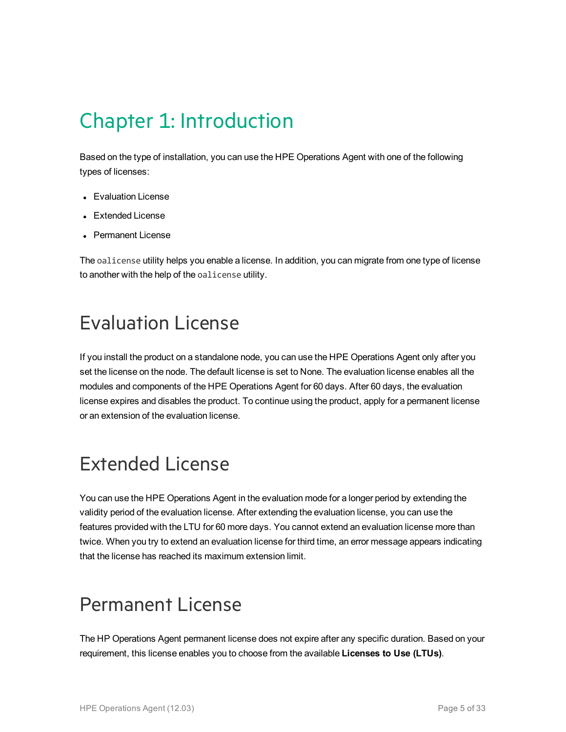# <span id="page-4-0"></span>Chapter 1: Introduction

Based on the type of installation, you can use the HPE Operations Agent with one of the following types of licenses:

- Evaluation License
- Extended License
- Permanent License

The oalicense utility helps you enable a license. In addition, you can migrate from one type of license to another with the help of the oalicense utility.

### <span id="page-4-1"></span>Evaluation License

If you install the product on a standalone node, you can use the HPE Operations Agent only after you set the license on the node. The default license is set to None. The evaluation license enables all the modules and components of the HPE Operations Agent for 60 days. After 60 days, the evaluation license expires and disables the product. To continue using the product, apply for a permanent license or an extension of the evaluation license.

# <span id="page-4-2"></span>Extended License

You can use the HPE Operations Agent in the evaluation mode for a longer period by extending the validity period of the evaluation license. After extending the evaluation license, you can use the features provided with the LTU for 60 more days. You cannot extend an evaluation license more than twice. When you try to extend an evaluation license for third time, an error message appears indicating that the license has reached its maximum extension limit.

### <span id="page-4-3"></span>Permanent License

The HP Operations Agent permanent license does not expire after any specific duration. Based on your requirement, this license enables you to choose from the available **Licenses to Use (LTUs)**.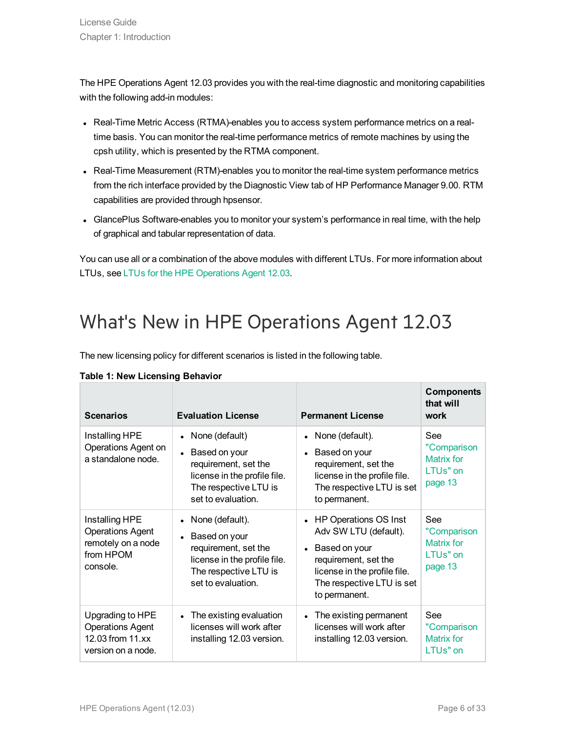The HPE Operations Agent 12.03 provides you with the real-time diagnostic and monitoring capabilities with the following add-in modules:

- Real-Time Metric Access (RTMA)-enables you to access system performance metrics on a realtime basis. You can monitor the real-time performance metrics of remote machines by using the cpsh utility, which is presented by the RTMA component.
- Real-Time Measurement (RTM)-enables you to monitor the real-time system performance metrics from the rich interface provided by the Diagnostic View tab of HP Performance Manager 9.00. RTM capabilities are provided through hpsensor.
- GlancePlus Software-enables you to monitor your system's performance in real time, with the help of graphical and tabular representation of data.

You can use all or a combination of the above modules with different LTUs. For more information about LTUs, see LTUs for the HPE [Operations](#page-7-0) Agent 12.03.

## <span id="page-5-0"></span>What's New in HPE Operations Agent 12.03

The new licensing policy for different scenarios is listed in the following table.

| <b>Scenarios</b>                                                                         | <b>Evaluation License</b>                                                                                                               | <b>Permanent License</b>                                                                                                                                                  | <b>Components</b><br>that will<br>work                         |
|------------------------------------------------------------------------------------------|-----------------------------------------------------------------------------------------------------------------------------------------|---------------------------------------------------------------------------------------------------------------------------------------------------------------------------|----------------------------------------------------------------|
| Installing HPE<br>Operations Agent on<br>a standalone node.                              | None (default)<br>Based on your<br>requirement, set the<br>license in the profile file.<br>The respective LTU is<br>set to evaluation.  | None (default).<br>Based on your<br>requirement, set the<br>license in the profile file.<br>The respective LTU is set<br>to permanent.                                    | See<br>"Comparison<br>Matrix for<br>LTUs" on<br>page 13        |
| Installing HPE<br><b>Operations Agent</b><br>remotely on a node<br>from HPOM<br>console. | None (default).<br>Based on your<br>requirement, set the<br>license in the profile file.<br>The respective LTU is<br>set to evaluation. | • HP Operations OS Inst<br>Adv SW LTU (default).<br>• Based on your<br>requirement, set the<br>license in the profile file.<br>The respective LTU is set<br>to permanent. | <b>See</b><br>"Comparison<br>Matrix for<br>LTUs" on<br>page 13 |
| Upgrading to HPE<br><b>Operations Agent</b><br>12.03 from 11.xx<br>version on a node.    | The existing evaluation<br>$\bullet$<br>licenses will work after<br>installing 12.03 version.                                           | The existing permanent<br>licenses will work after<br>installing 12.03 version.                                                                                           | See<br>"Comparison<br>Matrix for<br>LTUs" on                   |

|  | Table 1: New Licensing Behavior |  |
|--|---------------------------------|--|
|  |                                 |  |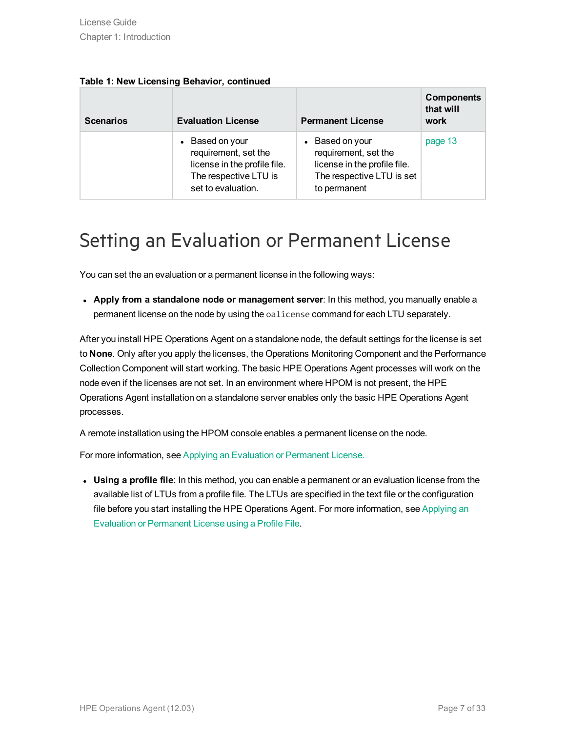| <b>Scenarios</b> | <b>Evaluation License</b>                                                                                            | <b>Permanent License</b>                                                                                             | <b>Components</b><br>that will<br>work |
|------------------|----------------------------------------------------------------------------------------------------------------------|----------------------------------------------------------------------------------------------------------------------|----------------------------------------|
|                  | Based on your<br>requirement, set the<br>license in the profile file.<br>The respective LTU is<br>set to evaluation. | • Based on your<br>requirement, set the<br>license in the profile file.<br>The respective LTU is set<br>to permanent | page 13                                |

|  |  |  |  | Table 1: New Licensing Behavior, continued |
|--|--|--|--|--------------------------------------------|
|--|--|--|--|--------------------------------------------|

### <span id="page-6-0"></span>Setting an Evaluation or Permanent License

You can set the an evaluation or a permanent license in the following ways:

<sup>l</sup> **Apply from a standalone node or management server**: In this method, you manually enable a permanent license on the node by using the oalicense command for each LTU separately.

After you install HPE Operations Agent on a standalone node, the default settings for the license is set to **None**. Only after you apply the licenses, the Operations Monitoring Component and the Performance Collection Component will start working. The basic HPE Operations Agent processes will work on the node even if the licenses are not set. In an environment where HPOM is not present, the HPE Operations Agent installation on a standalone server enables only the basic HPE Operations Agent processes.

A remote installation using the HPOM console enables a permanent license on the node.

For more information, see Applying an Evaluation or [Permanent](#page-19-0) License.

**Using a profile file**: In this method, you can enable a permanent or an evaluation license from the available list of LTUs from a profile file. The LTUs are specified in the text file or the configuration file before you start installing the HPE Operations Agent. For more information, see [Applying](#page-14-0) an Evaluation or [Permanent](#page-14-0) License using a Profile File.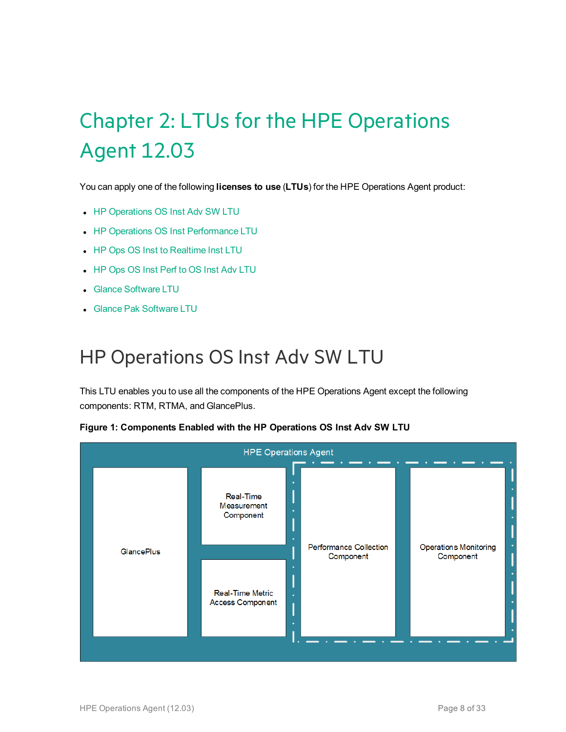# <span id="page-7-0"></span>Chapter 2: LTUs for the HPE Operations Agent 12.03

You can apply one of the following **licenses to use** (**LTUs**) for the HPE Operations Agent product:

- HP [Operations](#page-7-1) OS Inst Adv SW LTU
- HP Operations OS Inst [Performance](#page-8-0) LTU
- HP Ops OS Inst to [Realtime](#page-9-0) Inst LTU
- HP Ops OS Inst Perf to OS Inst Adv [LTU](#page-10-0)
- **.** Glance [Software](#page-10-1) LTU
- <span id="page-7-1"></span>**.** Glance Pak [Software](#page-11-0) LTU

### HP Operations OS Inst Adv SW LTU

This LTU enables you to use all the components of the HPE Operations Agent except the following components: RTM, RTMA, and GlancePlus.

| <b>HPE Operations Agent</b> |  |                                                    |  |                                            |  |                                           |
|-----------------------------|--|----------------------------------------------------|--|--------------------------------------------|--|-------------------------------------------|
|                             |  | Real-Time<br>Measurement<br>Component              |  |                                            |  |                                           |
| GlancePlus                  |  | <b>Real-Time Metric</b><br><b>Access Component</b> |  | <b>Performance Collection</b><br>Component |  | <b>Operations Monitoring</b><br>Component |
|                             |  |                                                    |  |                                            |  |                                           |

#### **Figure 1: Components Enabled with the HP Operations OS Inst Adv SW LTU**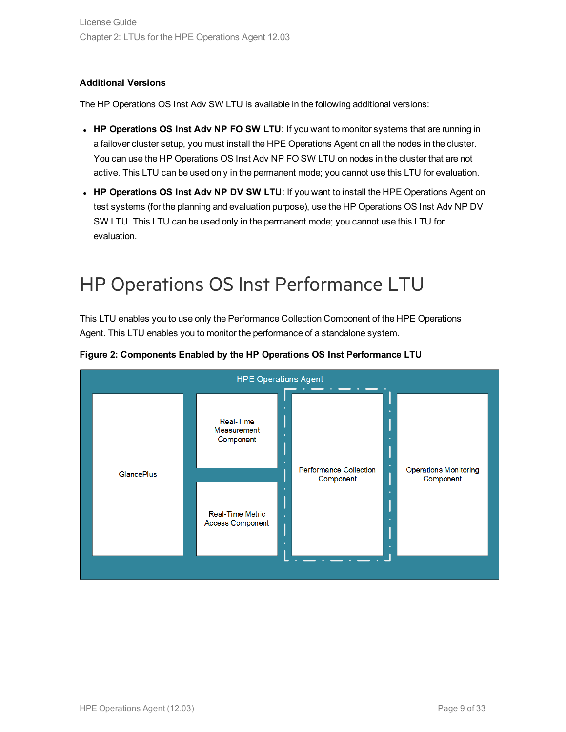#### **Additional Versions**

The HP Operations OS Inst Adv SW LTU is available in the following additional versions:

- <sup>l</sup> **HP Operations OS Inst Adv NP FO SW LTU**: If you want to monitor systems that are running in a failover cluster setup, you must install the HPE Operations Agent on all the nodes in the cluster. You can use the HP Operations OS Inst Adv NP FO SW LTU on nodes in the cluster that are not active. This LTU can be used only in the permanent mode; you cannot use this LTU for evaluation.
- <sup>l</sup> **HP Operations OS Inst Adv NP DV SW LTU**: If you want to install the HPE Operations Agent on test systems (for the planning and evaluation purpose), use the HP Operations OS Inst Adv NP DV SW LTU. This LTU can be used only in the permanent mode; you cannot use this LTU for evaluation.

## <span id="page-8-0"></span>HP Operations OS Inst Performance LTU

This LTU enables you to use only the Performance Collection Component of the HPE Operations Agent. This LTU enables you to monitor the performance of a standalone system.



#### **Figure 2: Components Enabled by the HP Operations OS Inst Performance LTU**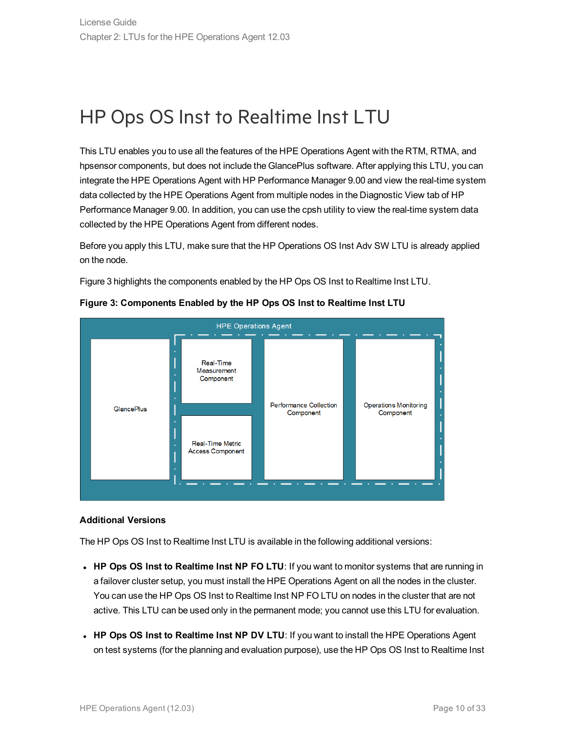### <span id="page-9-0"></span>HP Ops OS Inst to Realtime Inst LTU

This LTU enables you to use all the features of the HPE Operations Agent with the RTM, RTMA, and hpsensor components, but does not include the GlancePlus software. After applying this LTU, you can integrate the HPE Operations Agent with HP Performance Manager 9.00 and view the real-time system data collected by the HPE Operations Agent from multiple nodes in the Diagnostic View tab of HP Performance Manager 9.00. In addition, you can use the cpsh utility to view the real-time system data collected by the HPE Operations Agent from different nodes.

Before you apply this LTU, make sure that the HP Operations OS Inst Adv SW LTU is already applied on the node.

Figure 3 highlights the components enabled by the HP Ops OS Inst to Realtime Inst LTU.



#### **Figure 3: Components Enabled by the HP Ops OS Inst to Realtime Inst LTU**

#### **Additional Versions**

The HP Ops OS Inst to Realtime Inst LTU is available in the following additional versions:

- <sup>l</sup> **HP Ops OS Inst to Realtime Inst NP FO LTU**: If you want to monitor systems that are running in a failover cluster setup, you must install the HPE Operations Agent on all the nodes in the cluster. You can use the HP Ops OS Inst to Realtime Inst NP FO LTU on nodes in the cluster that are not active. This LTU can be used only in the permanent mode; you cannot use this LTU for evaluation.
- <sup>l</sup> **HP Ops OS Inst to Realtime Inst NP DV LTU**: If you want to install the HPE Operations Agent on test systems (for the planning and evaluation purpose), use the HP Ops OS Inst to Realtime Inst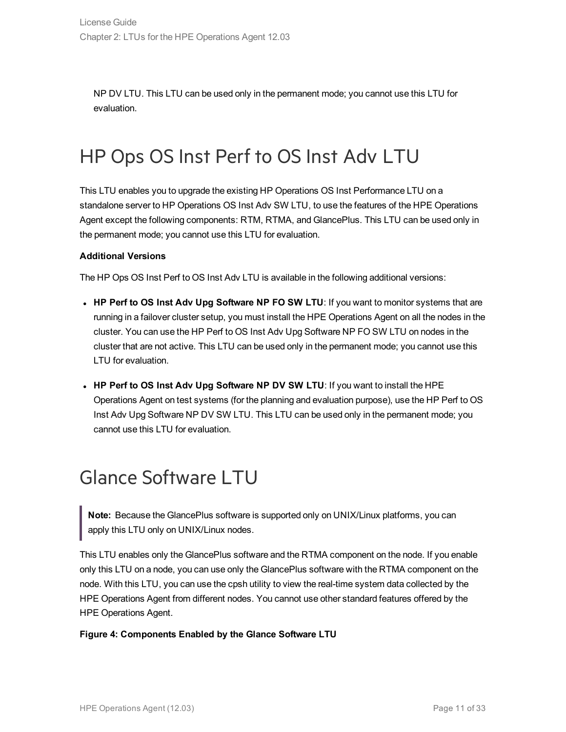NP DV LTU. This LTU can be used only in the permanent mode; you cannot use this LTU for evaluation.

## <span id="page-10-0"></span>HP Ops OS Inst Perf to OS Inst Adv LTU

This LTU enables you to upgrade the existing HP Operations OS Inst Performance LTU on a standalone server to HP Operations OS Inst Adv SW LTU, to use the features of the HPE Operations Agent except the following components: RTM, RTMA, and GlancePlus. This LTU can be used only in the permanent mode; you cannot use this LTU for evaluation.

#### **Additional Versions**

The HP Ops OS Inst Perf to OS Inst Adv LTU is available in the following additional versions:

- <sup>l</sup> **HP Perf to OS Inst Adv Upg Software NP FO SW LTU**: If you want to monitor systems that are running in a failover cluster setup, you must install the HPE Operations Agent on all the nodes in the cluster. You can use the HP Perf to OS Inst Adv Upg Software NP FO SW LTU on nodes in the cluster that are not active. This LTU can be used only in the permanent mode; you cannot use this LTU for evaluation.
- <sup>l</sup> **HP Perf to OS Inst Adv Upg Software NP DV SW LTU**: If you want to install the HPE Operations Agent on test systems (for the planning and evaluation purpose), use the HP Perf to OS Inst Adv Upg Software NP DV SW LTU. This LTU can be used only in the permanent mode; you cannot use this LTU for evaluation.

## <span id="page-10-1"></span>Glance Software LTU

**Note:** Because the GlancePlus software is supported only on UNIX/Linux platforms, you can apply this LTU only on UNIX/Linux nodes.

This LTU enables only the GlancePlus software and the RTMA component on the node. If you enable only this LTU on a node, you can use only the GlancePlus software with the RTMA component on the node. With this LTU, you can use the cpsh utility to view the real-time system data collected by the HPE Operations Agent from different nodes. You cannot use other standard features offered by the HPE Operations Agent.

#### **Figure 4: Components Enabled by the Glance Software LTU**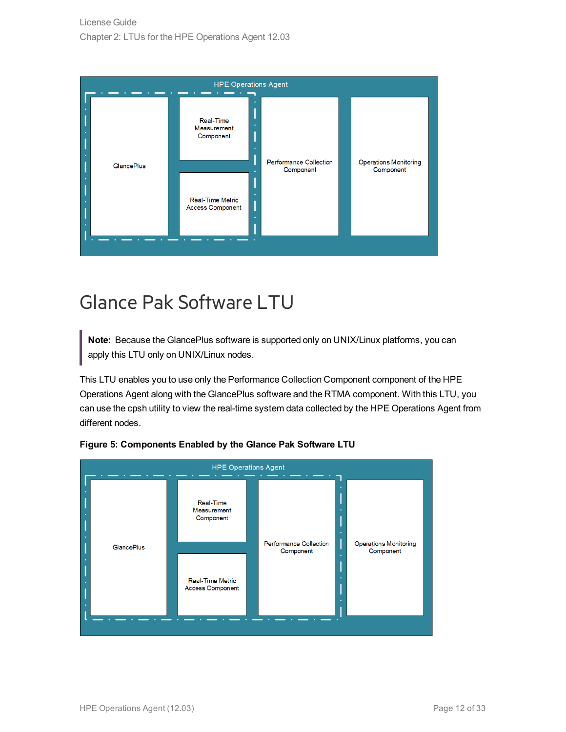| <b>Real-Time</b><br>Measurement<br>Component<br><b>Performance Collection</b><br><b>Operations Monitoring</b><br><b>GlancePlus</b><br>Component<br>Component<br><b>Real-Time Metric</b><br><b>Access Component</b> | <b>HPE Operations Agent</b> |  |  |  |  |  |  |  |
|--------------------------------------------------------------------------------------------------------------------------------------------------------------------------------------------------------------------|-----------------------------|--|--|--|--|--|--|--|
|                                                                                                                                                                                                                    |                             |  |  |  |  |  |  |  |
|                                                                                                                                                                                                                    |                             |  |  |  |  |  |  |  |

# <span id="page-11-0"></span>Glance Pak Software LTU

**Note:** Because the GlancePlus software is supported only on UNIX/Linux platforms, you can apply this LTU only on UNIX/Linux nodes.

This LTU enables you to use only the Performance Collection Component component of the HPE Operations Agent along with the GlancePlus software and the RTMA component. With this LTU, you can use the cpsh utility to view the real-time system data collected by the HPE Operations Agent from different nodes.



#### **Figure 5: Components Enabled by the Glance Pak Software LTU**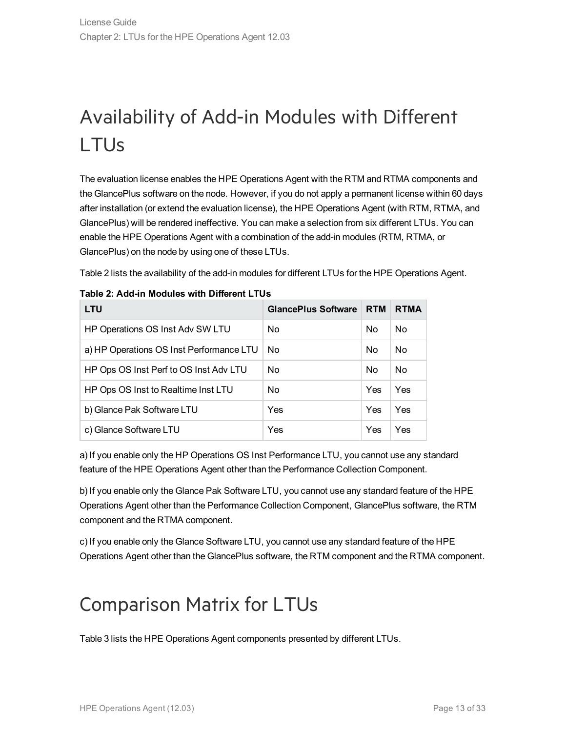# <span id="page-12-0"></span>Availability of Add-in Modules with Different LTUs

The evaluation license enables the HPE Operations Agent with the RTM and RTMA components and the GlancePlus software on the node. However, if you do not apply a permanent license within 60 days after installation (or extend the evaluation license), the HPE Operations Agent (with RTM, RTMA, and GlancePlus) will be rendered ineffective. You can make a selection from six different LTUs. You can enable the HPE Operations Agent with a combination of the add-in modules (RTM, RTMA, or GlancePlus) on the node by using one of these LTUs.

Table 2 lists the availability of the add-in modules for different LTUs for the HPE Operations Agent.

| <b>LTU</b>                               | <b>GlancePlus Software</b> | <b>RTM</b> | <b>RTMA</b>    |
|------------------------------------------|----------------------------|------------|----------------|
| HP Operations OS Inst Adv SW LTU         | No.                        | No         | No             |
| a) HP Operations OS Inst Performance LTU | No.                        | No         | N <sub>0</sub> |
| HP Ops OS Inst Perf to OS Inst Adv LTU   | <b>No</b>                  | No         | N <sub>0</sub> |
| HP Ops OS Inst to Realtime Inst LTU      | No.                        | Yes        | Yes            |
| b) Glance Pak Software LTU               | Yes                        | Yes        | Yes            |
| c) Glance Software LTU                   | Yes                        | Yes        | Yes            |

|  |  |  | Table 2: Add-in Modules with Different LTUs |
|--|--|--|---------------------------------------------|
|--|--|--|---------------------------------------------|

a) If you enable only the HP Operations OS Inst Performance LTU, you cannot use any standard feature of the HPE Operations Agent other than the Performance Collection Component.

b) If you enable only the Glance Pak Software LTU, you cannot use any standard feature of the HPE Operations Agent other than the Performance Collection Component, GlancePlus software, the RTM component and the RTMA component.

c) If you enable only the Glance Software LTU, you cannot use any standard feature of the HPE Operations Agent other than the GlancePlus software, the RTM component and the RTMA component.

## <span id="page-12-1"></span>Comparison Matrix for LTUs

Table 3 lists the HPE Operations Agent components presented by different LTUs.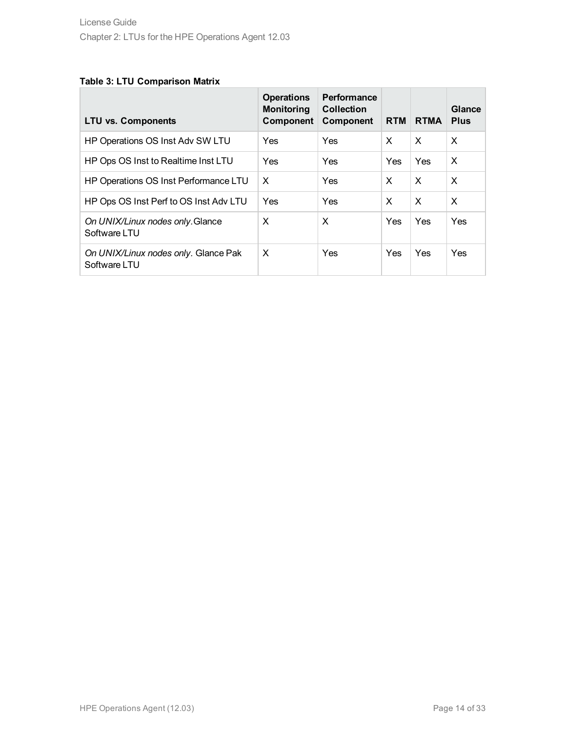#### **Table 3: LTU Comparison Matrix**

| <b>LTU vs. Components</b>                            | <b>Operations</b><br><b>Monitoring</b><br><b>Component</b> | Performance<br><b>Collection</b><br><b>Component</b> | <b>RTM</b> | <b>RTMA</b> | Glance<br><b>Plus</b> |
|------------------------------------------------------|------------------------------------------------------------|------------------------------------------------------|------------|-------------|-----------------------|
| HP Operations OS Inst Adv SW LTU                     | Yes                                                        | Yes                                                  | X          | $\times$    | X                     |
| HP Ops OS Inst to Realtime Inst LTU                  | Yes                                                        | Yes                                                  | Yes        | Yes         | X                     |
| HP Operations OS Inst Performance LTU                | $\times$                                                   | Yes                                                  | X          | $\times$    | X                     |
| HP Ops OS Inst Perf to OS Inst Adv LTU               | Yes                                                        | Yes                                                  | X          | $\times$    | X                     |
| On UNIX/Linux nodes only. Glance<br>Software LTU     | X                                                          | X                                                    | Yes        | <b>Yes</b>  | Yes                   |
| On UNIX/Linux nodes only. Glance Pak<br>Software LTU | $\times$                                                   | Yes                                                  | Yes        | Yes         | <b>Yes</b>            |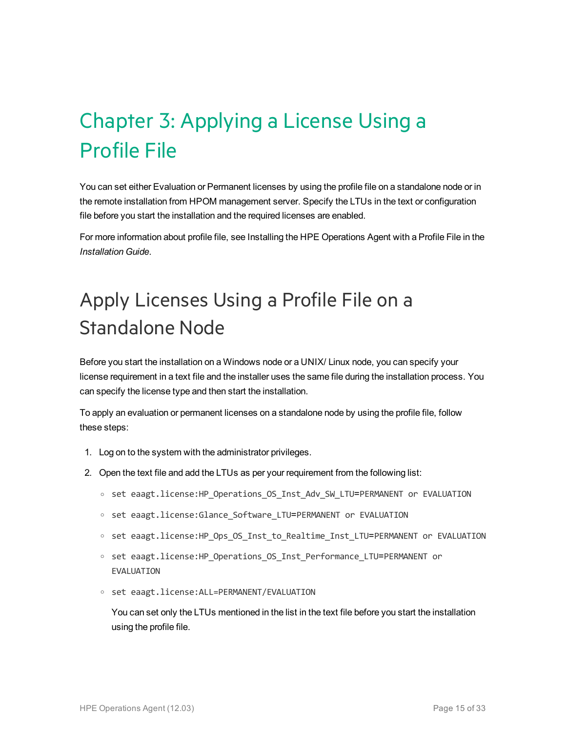# <span id="page-14-0"></span>Chapter 3: Applying a License Using a Profile File

You can set either Evaluation or Permanent licenses by using the profile file on a standalone node or in the remote installation from HPOM management server. Specify the LTUs in the text or configuration file before you start the installation and the required licenses are enabled.

For more information about profile file, see Installing the HPE Operations Agent with a Profile File in the *Installation Guide*.

# <span id="page-14-1"></span>Apply Licenses Using a Profile File on a Standalone Node

Before you start the installation on a Windows node or a UNIX/ Linux node, you can specify your license requirement in a text file and the installer uses the same file during the installation process. You can specify the license type and then start the installation.

To apply an evaluation or permanent licenses on a standalone node by using the profile file, follow these steps:

- 1. Log on to the system with the administrator privileges.
- 2. Open the text file and add the LTUs as per your requirement from the following list:
	- <sup>o</sup> set eaagt.license:HP\_Operations\_OS\_Inst\_Adv\_SW\_LTU=PERMANENT or EVALUATION
	- <sup>o</sup> set eaagt.license:Glance\_Software\_LTU=PERMANENT or EVALUATION
	- <sup>o</sup> set eaagt.license:HP\_Ops\_OS\_Inst\_to\_Realtime\_Inst\_LTU=PERMANENT or EVALUATION
	- <sup>o</sup> set eaagt.license:HP\_Operations\_OS\_Inst\_Performance\_LTU=PERMANENT or EVALUATION
	- <sup>o</sup> set eaagt.license:ALL=PERMANENT/EVALUATION

You can set only the LTUs mentioned in the list in the text file before you start the installation using the profile file.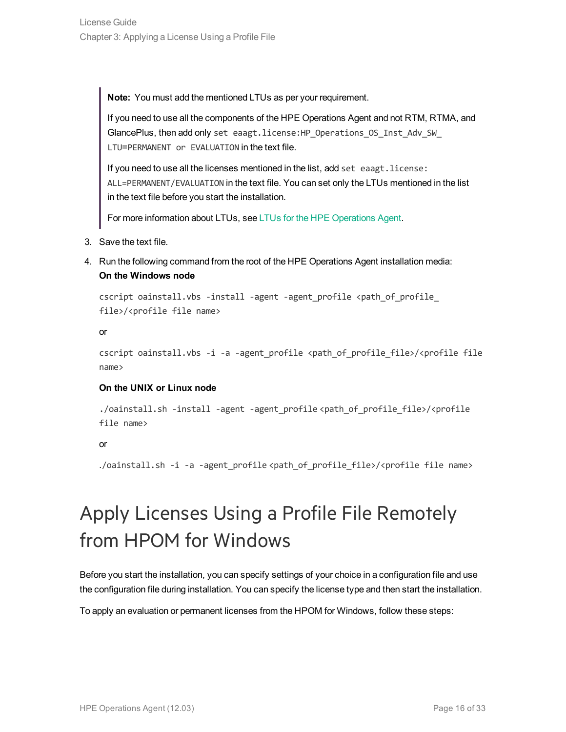**Note:** You must add the mentioned LTUs as per your requirement.

If you need to use all the components of the HPE Operations Agent and not RTM, RTMA, and GlancePlus, then add only set eaagt.license: HP Operations OS Inst Adv SW LTU=PERMANENT or EVALUATION in the text file.

If you need to use all the licenses mentioned in the list, add set eaagt. license: ALL=PERMANENT/EVALUATION in the text file. You can set only the LTUs mentioned in the list in the text file before you start the installation.

For more information about LTUs, see LTUs for the HPE [Operations](#page-7-0) Agent.

- 3. Save the text file.
- 4. Run the following command from the root of the HPE Operations Agent installation media: **On the Windows node**

cscript oainstall.vbs -install -agent -agent profile <path of profile file>/<profile file name>

or

```
cscript oainstall.vbs -i -a -agent profile <path of profile file>/<profile file
name>
```
#### **On the UNIX or Linux node**

```
./oainstall.sh -install -agent -agent_profile <path_of_profile_file>/<profile
file name>
```
or

./oainstall.sh -i -a -agent\_profile <path\_of\_profile\_file>/<profile file name>

# <span id="page-15-0"></span>Apply Licenses Using a Profile File Remotely from HPOM for Windows

Before you start the installation, you can specify settings of your choice in a configuration file and use the configuration file during installation. You can specify the license type and then start the installation.

To apply an evaluation or permanent licenses from the HPOM for Windows, follow these steps: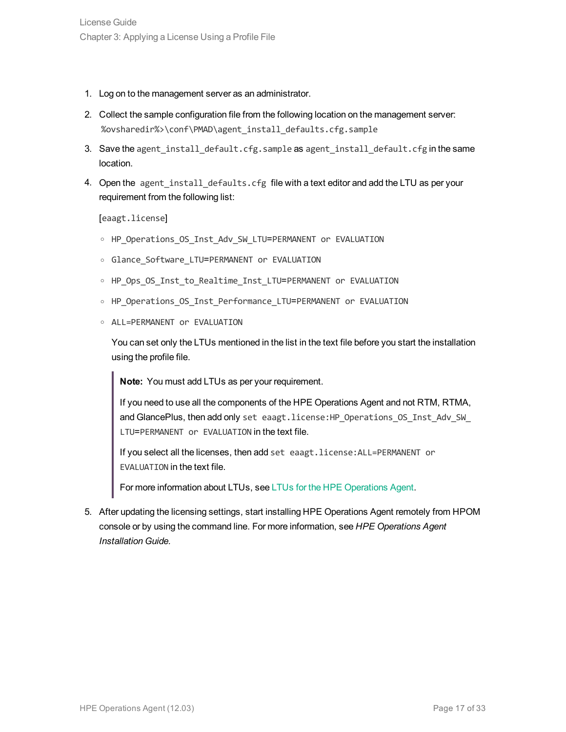- 1. Log on to the management server as an administrator.
- 2. Collect the sample configuration file from the following location on the management server: %ovsharedir%>\conf\PMAD\agent\_install\_defaults.cfg.sample
- 3. Save the agent install default.cfg.sample as agent install default.cfg in the same location.
- 4. Open the agent install defaults.cfg file with a text editor and add the LTU as per your requirement from the following list:

[eaagt.license]

- o HP Operations OS Inst Adv SW LTU=PERMANENT or EVALUATION
- <sup>o</sup> Glance\_Software\_LTU=PERMANENT or EVALUATION
- o HP Ops OS Inst to Realtime Inst LTU=PERMANENT or EVALUATION
- o HP Operations OS Inst Performance LTU=PERMANENT or EVALUATION
- <sup>o</sup> ALL=PERMANENT or EVALUATION

You can set only the LTUs mentioned in the list in the text file before you start the installation using the profile file.

**Note:** You must add LTUs as per your requirement.

If you need to use all the components of the HPE Operations Agent and not RTM, RTMA, and GlancePlus, then add only set eaagt.license:HP\_Operations\_OS\_Inst\_Adv\_SW\_ LTU=PERMANENT or EVALUATION in the text file.

If you select all the licenses, then add set eaagt.license:ALL=PERMANENT or EVALUATION in the text file.

For more information about LTUs, see LTUs for the HPE [Operations](#page-7-0) Agent.

5. After updating the licensing settings, start installing HPE Operations Agent remotely from HPOM console or by using the command line. For more information, see *HPE Operations Agent Installation Guide.*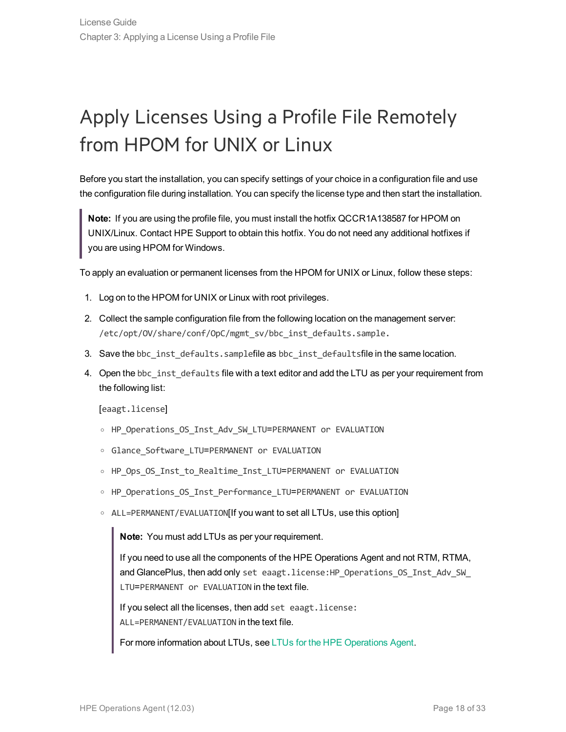# <span id="page-17-0"></span>Apply Licenses Using a Profile File Remotely from HPOM for UNIX or Linux

Before you start the installation, you can specify settings of your choice in a configuration file and use the configuration file during installation. You can specify the license type and then start the installation.

**Note:** If you are using the profile file, you must install the hotfix QCCR1A138587 for HPOM on UNIX/Linux. Contact HPE Support to obtain this hotfix. You do not need any additional hotfixes if you are using HPOM for Windows.

To apply an evaluation or permanent licenses from the HPOM for UNIX or Linux, follow these steps:

- 1. Log on to the HPOM for UNIX or Linux with root privileges.
- 2. Collect the sample configuration file from the following location on the management server: /etc/opt/OV/share/conf/OpC/mgmt\_sv/bbc\_inst\_defaults.sample.
- 3. Save the bbc\_inst\_defaults.samplefile as bbc\_inst\_defaultsfile in the same location.
- 4. Open the bbc\_inst\_defaults file with a text editor and add the LTU as per your requirement from the following list:

[eaagt.license]

- o HP Operations OS Inst Adv SW LTU=PERMANENT or EVALUATION
- o Glance Software LTU=PERMANENT or EVALUATION
- o HP Ops OS Inst to Realtime Inst LTU=PERMANENT or EVALUATION
- o HP Operations OS Inst Performance LTU=PERMANENT or EVALUATION
- <sup>o</sup> ALL=PERMANENT/EVALUATION[If you want to set all LTUs, use this option]

**Note:** You must add LTUs as per your requirement.

If you need to use all the components of the HPE Operations Agent and not RTM, RTMA, and GlancePlus, then add only set eaagt.license: HP\_Operations\_OS\_Inst\_Adv\_SW\_ LTU=PERMANENT or EVALUATION in the text file.

If you select all the licenses, then add set eaagt.license: ALL=PERMANENT/EVALUATION in the text file.

For more information about LTUs, see LTUs for the HPE [Operations](#page-7-0) Agent.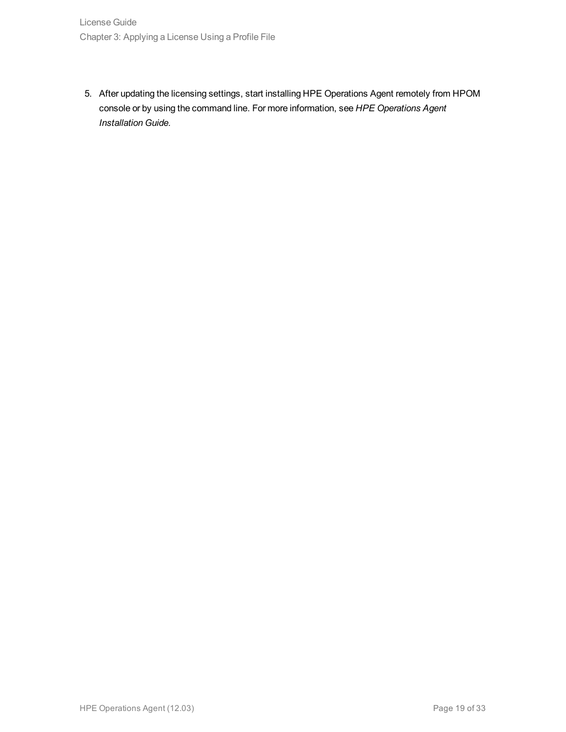5. After updating the licensing settings, start installing HPE Operations Agent remotely from HPOM console or by using the command line. For more information, see *HPE Operations Agent Installation Guide.*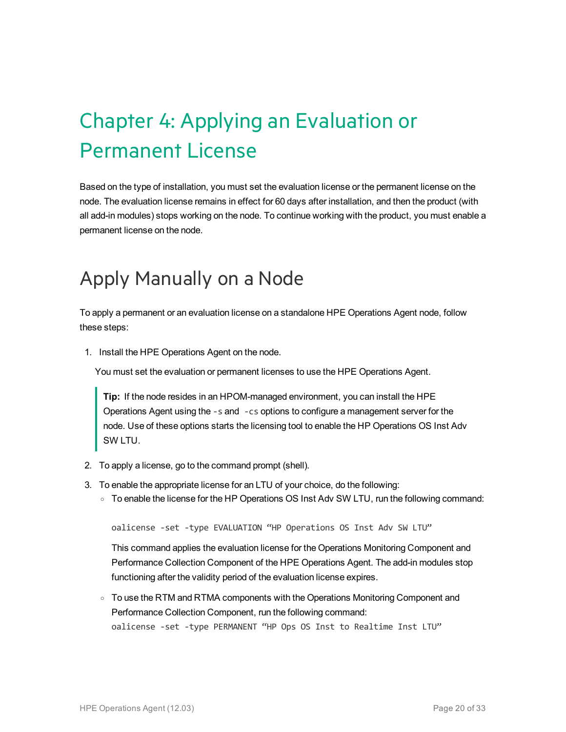# <span id="page-19-0"></span>Chapter 4: Applying an Evaluation or Permanent License

Based on the type of installation, you must set the evaluation license or the permanent license on the node. The evaluation license remains in effect for 60 days after installation, and then the product (with all add-in modules) stops working on the node. To continue working with the product, you must enable a permanent license on the node.

## <span id="page-19-1"></span>Apply Manually on a Node

To apply a permanent or an evaluation license on a standalone HPE Operations Agent node, follow these steps:

1. Install the HPE Operations Agent on the node.

You must set the evaluation or permanent licenses to use the HPE Operations Agent.

**Tip:** If the node resides in an HPOM-managed environment, you can install the HPE Operations Agent using the -s and -cs options to configure a management server for the node. Use of these options starts the licensing tool to enable the HP Operations OS Inst Adv SW LTU.

- 2. To apply a license, go to the command prompt (shell).
- 3. To enable the appropriate license for an LTU of your choice, do the following:
	- To enable the license for the HP Operations OS Inst Adv SW LTU, run the following command:

oalicense -set -type EVALUATION "HP Operations OS Inst Adv SW LTU"

This command applies the evaluation license for the Operations Monitoring Component and Performance Collection Component of the HPE Operations Agent. The add-in modules stop functioning after the validity period of the evaluation license expires.

○ To use the RTM and RTMA components with the Operations Monitoring Component and Performance Collection Component, run the following command: oalicense -set -type PERMANENT "HP Ops OS Inst to Realtime Inst LTU"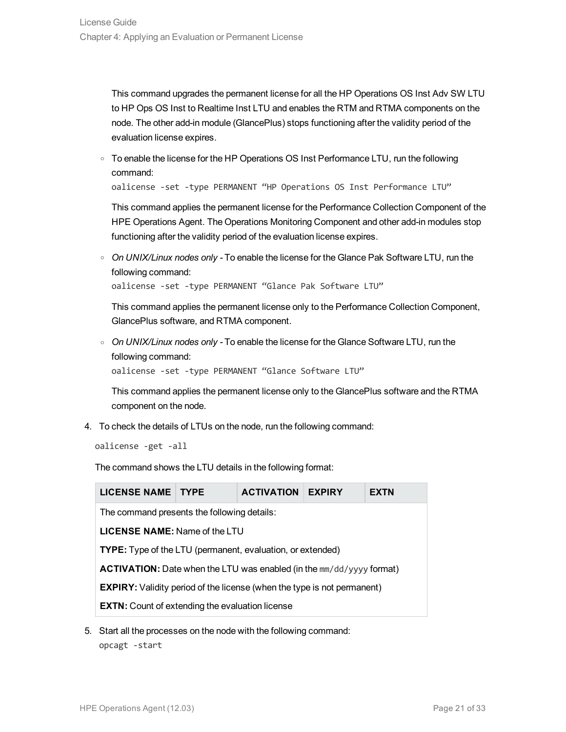This command upgrades the permanent license for all the HP Operations OS Inst Adv SW LTU to HP Ops OS Inst to Realtime Inst LTU and enables the RTM and RTMA components on the node. The other add-in module (GlancePlus) stops functioning after the validity period of the evaluation license expires.

○ To enable the license for the HP Operations OS Inst Performance LTU, run the following command:

oalicense -set -type PERMANENT "HP Operations OS Inst Performance LTU"

This command applies the permanent license for the Performance Collection Component of the HPE Operations Agent. The Operations Monitoring Component and other add-in modules stop functioning after the validity period of the evaluation license expires.

<sup>o</sup> *On UNIX/Linux nodes only -* To enable the license for the Glance Pak Software LTU, run the following command:

oalicense -set -type PERMANENT "Glance Pak Software LTU"

This command applies the permanent license only to the Performance Collection Component, GlancePlus software, and RTMA component.

<sup>o</sup> *On UNIX/Linux nodes only -* To enable the license for the Glance Software LTU, run the following command:

oalicense -set -type PERMANENT "Glance Software LTU"

This command applies the permanent license only to the GlancePlus software and the RTMA component on the node.

4. To check the details of LTUs on the node, run the following command:

oalicense -get -all

The command shows the LTU details in the following format:

| <b>LICENSE NAME TYPE</b><br><b>ACTIVATION</b><br><b>EXPIRY</b><br>EXTN         |  |  |  |  |  |  |  |  |
|--------------------------------------------------------------------------------|--|--|--|--|--|--|--|--|
| The command presents the following details:                                    |  |  |  |  |  |  |  |  |
| <b>LICENSE NAME:</b> Name of the LTU                                           |  |  |  |  |  |  |  |  |
| <b>TYPE:</b> Type of the LTU (permanent, evaluation, or extended)              |  |  |  |  |  |  |  |  |
| <b>ACTIVATION:</b> Date when the LTU was enabled (in the mm/dd/yyyy format)    |  |  |  |  |  |  |  |  |
| <b>EXPIRY:</b> Validity period of the license (when the type is not permanent) |  |  |  |  |  |  |  |  |
| <b>EXTN:</b> Count of extending the evaluation license                         |  |  |  |  |  |  |  |  |

5. Start all the processes on the node with the following command: opcagt -start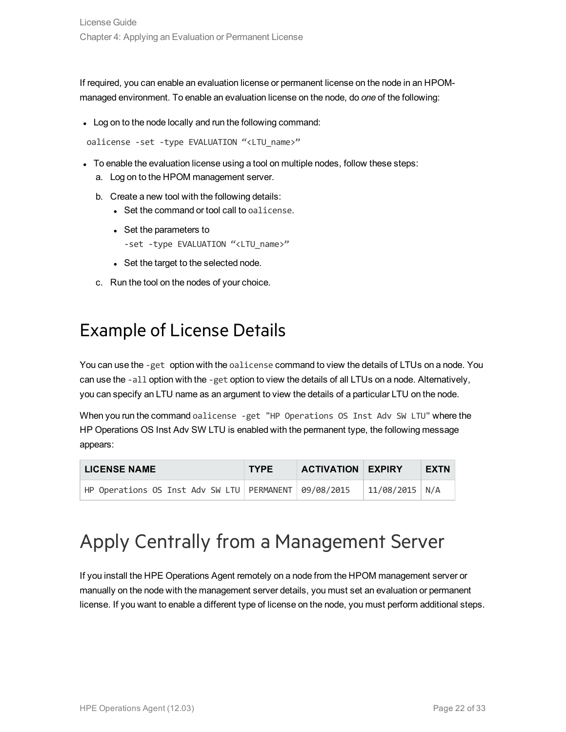If required, you can enable an evaluation license or permanent license on the node in an HPOMmanaged environment. To enable an evaluation license on the node, do *one* of the following:

• Log on to the node locally and run the following command:

oalicense -set -type EVALUATION "<LTU name>"

- To enable the evaluation license using a tool on multiple nodes, follow these steps:
	- a. Log on to the HPOM management server.
	- b. Create a new tool with the following details:
		- Set the command or tool call to oalicense.
		- Set the parameters to -set -type EVALUATION "<LTU\_name>"
		- Set the target to the selected node.
	- c. Run the tool on the nodes of your choice.

### <span id="page-21-0"></span>Example of License Details

You can use the -get option with the oalicense command to view the details of LTUs on a node. You can use the -all option with the -get option to view the details of all LTUs on a node. Alternatively, you can specify an LTU name as an argument to view the details of a particular LTU on the node.

When you run the command oalicense -get "HP Operations OS Inst Adv SW LTU" where the HP Operations OS Inst Adv SW LTU is enabled with the permanent type, the following message appears:

| <b>LICENSE NAME</b>                                       | <b>TYPE</b> | <b>ACTIVATION EXPIRY</b> |                  | EXTN |
|-----------------------------------------------------------|-------------|--------------------------|------------------|------|
| HP Operations OS Inst Adv SW LTU   PERMANENT   09/08/2015 |             |                          | $11/08/2015$ N/A |      |

### <span id="page-21-1"></span>Apply Centrally from a Management Server

If you install the HPE Operations Agent remotely on a node from the HPOM management server or manually on the node with the management server details, you must set an evaluation or permanent license. If you want to enable a different type of license on the node, you must perform additional steps.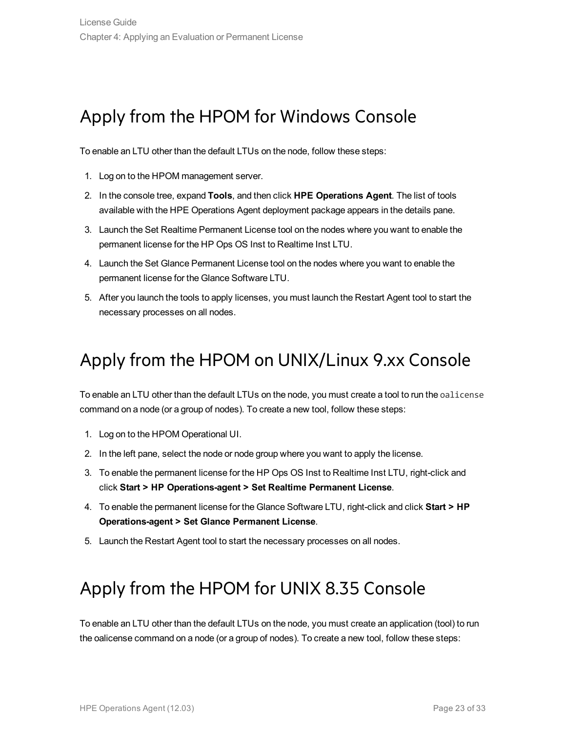### <span id="page-22-0"></span>Apply from the HPOM for Windows Console

To enable an LTU other than the default LTUs on the node, follow these steps:

- 1. Log on to the HPOM management server.
- 2. In the console tree, expand **Tools**, and then click **HPE Operations Agent**. The list of tools available with the HPE Operations Agent deployment package appears in the details pane.
- 3. Launch the Set Realtime Permanent License tool on the nodes where you want to enable the permanent license for the HP Ops OS Inst to Realtime Inst LTU.
- 4. Launch the Set Glance Permanent License tool on the nodes where you want to enable the permanent license for the Glance Software LTU.
- <span id="page-22-1"></span>5. After you launch the tools to apply licenses, you must launch the Restart Agent tool to start the necessary processes on all nodes.

### Apply from the HPOM on UNIX/Linux 9.xx Console

To enable an LTU other than the default LTUs on the node, you must create a tool to run the oalicense command on a node (or a group of nodes). To create a new tool, follow these steps:

- 1. Log on to the HPOM Operational UI.
- 2. In the left pane, select the node or node group where you want to apply the license.
- 3. To enable the permanent license for the HP Ops OS Inst to Realtime Inst LTU, right-click and click **Start > HP Operations-agent > Set Realtime Permanent License**.
- 4. To enable the permanent license for the Glance Software LTU, right-click and click **Start > HP Operations-agent > Set Glance Permanent License**.
- <span id="page-22-2"></span>5. Launch the Restart Agent tool to start the necessary processes on all nodes.

### Apply from the HPOM for UNIX 8.35 Console

To enable an LTU other than the default LTUs on the node, you must create an application (tool) to run the oalicense command on a node (or a group of nodes). To create a new tool, follow these steps: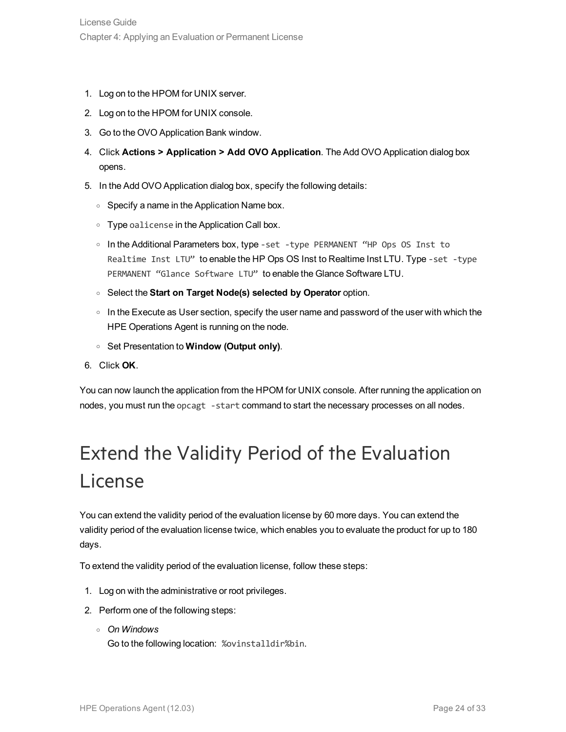- 1. Log on to the HPOM for UNIX server.
- 2. Log on to the HPOM for UNIX console.
- 3. Go to the OVO Application Bank window.
- 4. Click **Actions > Application > Add OVO Application**. The Add OVO Application dialog box opens.
- 5. In the Add OVO Application dialog box, specify the following details:
	- Specify a name in the Application Name box.
	- $\circ$  Type oalicense in the Application Call box.
	- <sup>o</sup> In the Additional Parameters box, type -set -type PERMANENT "HP Ops OS Inst to Realtime Inst LTU" to enable the HP Ops OS Inst to Realtime Inst LTU. Type -set -type PERMANENT "Glance Software LTU" to enable the Glance Software LTU.
	- <sup>o</sup> Select the **Start on Target Node(s) selected by Operator** option.
	- $\circ$  In the Execute as User section, specify the user name and password of the user with which the HPE Operations Agent is running on the node.
	- <sup>o</sup> Set Presentation to **Window (Output only)**.
- 6. Click **OK**.

You can now launch the application from the HPOM for UNIX console. After running the application on nodes, you must run the opcagt -start command to start the necessary processes on all nodes.

# <span id="page-23-0"></span>Extend the Validity Period of the Evaluation License

You can extend the validity period of the evaluation license by 60 more days. You can extend the validity period of the evaluation license twice, which enables you to evaluate the product for up to 180 days.

To extend the validity period of the evaluation license, follow these steps:

- 1. Log on with the administrative or root privileges.
- 2. Perform one of the following steps:
	- <sup>o</sup> *On Windows* Go to the following location: %ovinstalldir%bin.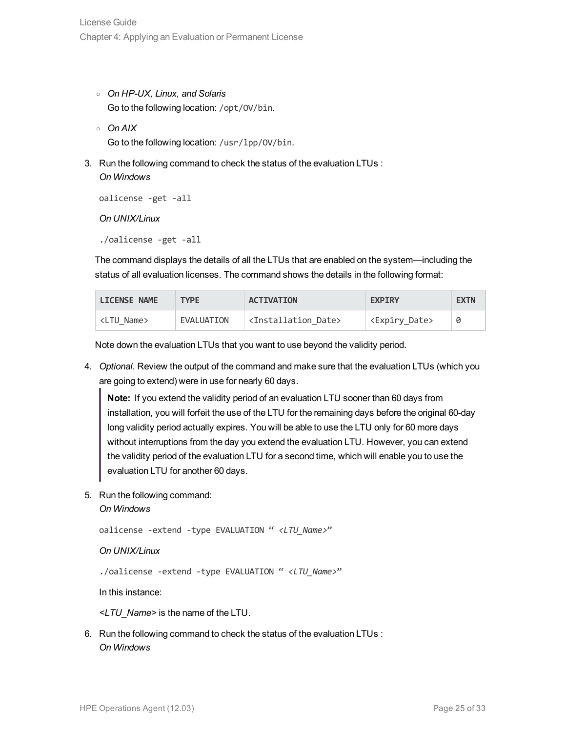- <sup>o</sup> *On HP-UX, Linux, and Solaris* Go to the following location: /opt/OV/bin.
- <sup>o</sup> *On AIX* Go to the following location: /usr/lpp/OV/bin.
- 3. Run the following command to check the status of the evaluation LTUs : *On Windows*

```
oalicense -get -all
```
*On UNIX/Linux*

./oalicense -get -all

The command displays the details of all the LTUs that are enabled on the system—including the status of all evaluation licenses. The command shows the details in the following format:

| <b>LICENSE NAME</b> | <b>TYPF</b> | <b>ACTIVATION</b>                     | <b>EXPIRY</b>               | <b>EXTN</b> |
|---------------------|-------------|---------------------------------------|-----------------------------|-------------|
| <ltu name=""></ltu> | EVALUATION  | <installation date=""></installation> | <expiry_date></expiry_date> |             |

Note down the evaluation LTUs that you want to use beyond the validity period.

4. *Optional.* Review the output of the command and make sure that the evaluation LTUs (which you are going to extend) were in use for nearly 60 days.

**Note:** If you extend the validity period of an evaluation LTU sooner than 60 days from installation, you will forfeit the use of the LTU for the remaining days before the original 60-day long validity period actually expires. You will be able to use the LTU only for 60 more days without interruptions from the day you extend the evaluation LTU. However, you can extend the validity period of the evaluation LTU for a second time, which will enable you to use the evaluation LTU for another 60 days.

5. Run the following command:

```
On Windows
```
oalicense -extend -type EVALUATION " *<LTU\_Name>*"

*On UNIX/Linux*

./oalicense -extend -type EVALUATION " *<LTU\_Name>*"

In this instance:

*<LTU\_Name>* is the name of the LTU.

6. Run the following command to check the status of the evaluation LTUs : *On Windows*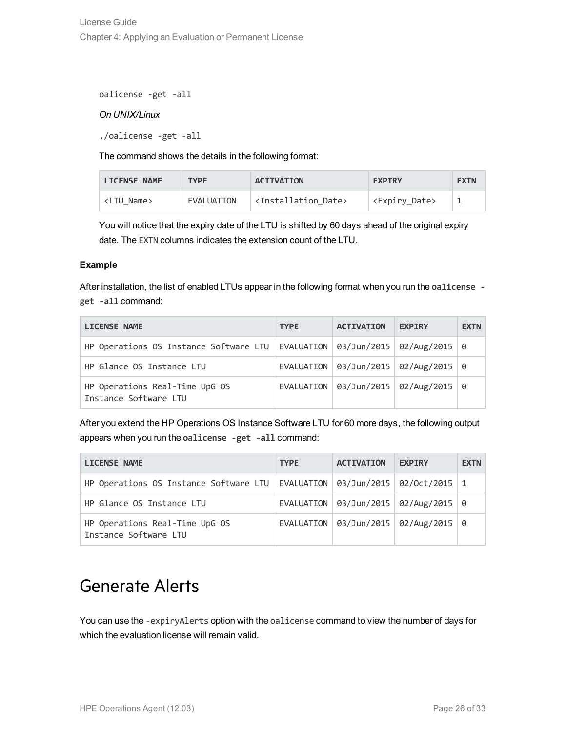oalicense -get -all

#### *On UNIX/Linux*

./oalicense -get -all

The command shows the details in the following format:

| <b>LICENSE NAME</b> | <b>TYPF</b> | <b>ACTIVATION</b>                     | <b>EXPIRY</b>             | <b>EXTN</b> |
|---------------------|-------------|---------------------------------------|---------------------------|-------------|
| <ltu name=""></ltu> | EVALUATION  | <installation date=""></installation> | <expiry date=""></expiry> |             |

You will notice that the expiry date of the LTU is shifted by 60 days ahead of the original expiry date. The EXTN columns indicates the extension count of the LTU.

#### **Example**

After installation, the list of enabled LTUs appear in the following format when you run the **oalicense get -all** command:

| <b>LICENSE NAME</b>                                                                 | <b>TYPE</b> | <b>ACTIVATION</b>                          | <b>EXPIRY</b> | <b>EXTN</b> |
|-------------------------------------------------------------------------------------|-------------|--------------------------------------------|---------------|-------------|
| HP Operations OS Instance Software LTU   EVALUATION   03/Jun/2015   02/Aug/2015   0 |             |                                            |               |             |
| HP Glance OS Instance LTU                                                           |             | EVALUATION   03/Jun/2015   02/Aug/2015   0 |               |             |
| HP Operations Real-Time UpG OS<br>Instance Software LTU                             |             | EVALUATION   03/Jun/2015   02/Aug/2015   0 |               |             |

After you extend the HP Operations OS Instance Software LTU for 60 more days, the following output appears when you run the **oalicense -get -all** command:

| <b>LICENSE NAME</b>                                                                                 | <b>TYPE</b> | <b>ACTIVATION</b>                              | <b>EXPIRY</b> | <b>EXTN</b> |
|-----------------------------------------------------------------------------------------------------|-------------|------------------------------------------------|---------------|-------------|
| HP Operations OS Instance Software LTU   EVALUATION   $\theta$ 3/Jun/2015   $\theta$ 2/Oct/2015   1 |             |                                                |               |             |
| HP Glance OS Instance LTU                                                                           |             | EVALUATION   $03/Jun/2015$   $02/Aug/2015$   0 |               |             |
| HP Operations Real-Time UpG OS<br>Instance Software LTU                                             |             | EVALUATION   03/Jun/2015   02/Aug/2015   0     |               |             |

### <span id="page-25-0"></span>Generate Alerts

You can use the -expiryAlerts option with the oalicense command to view the number of days for which the evaluation license will remain valid.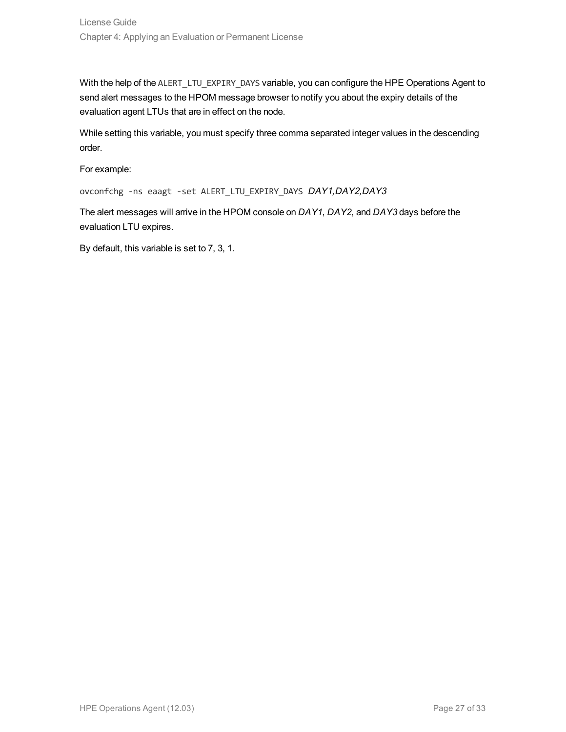With the help of the ALERT\_LTU\_EXPIRY\_DAYS variable, you can configure the HPE Operations Agent to send alert messages to the HPOM message browser to notify you about the expiry details of the evaluation agent LTUs that are in effect on the node.

While setting this variable, you must specify three comma separated integer values in the descending order.

For example:

ovconfchg -ns eaagt -set ALERT\_LTU\_EXPIRY\_DAYS DAY1,DAY2,DAY3

The alert messages will arrive in the HPOM console on *DAY1*, *DAY2*, and *DAY3* days before the evaluation LTU expires.

By default, this variable is set to 7, 3, 1.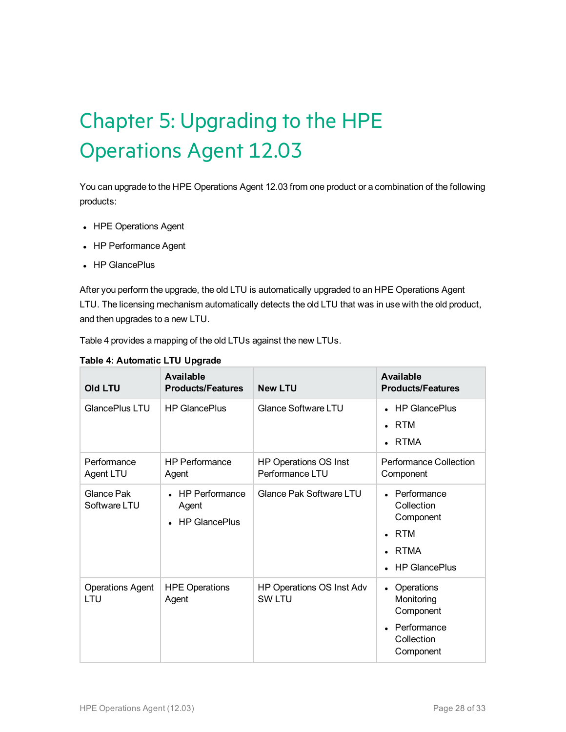# <span id="page-27-0"></span>Chapter 5: Upgrading to the HPE Operations Agent 12.03

You can upgrade to the HPE Operations Agent 12.03 from one product or a combination of the following products:

- HPE Operations Agent
- HP Performance Agent
- HP GlancePlus

After you perform the upgrade, the old LTU is automatically upgraded to an HPE Operations Agent LTU. The licensing mechanism automatically detects the old LTU that was in use with the old product, and then upgrades to a new LTU.

Table 4 provides a mapping of the old LTUs against the new LTUs.

| Old LTU                        | Available<br><b>Products/Features</b>                  | <b>New LTU</b>                                  | <b>Available</b><br><b>Products/Features</b>                                                                                       |
|--------------------------------|--------------------------------------------------------|-------------------------------------------------|------------------------------------------------------------------------------------------------------------------------------------|
| GlancePlus LTU                 | <b>HP GlancePlus</b>                                   | Glance Software LTU                             | <b>HP GlancePlus</b><br><b>RTM</b><br>$\bullet$<br>RTMA                                                                            |
| Performance<br>Agent LTU       | <b>HP Performance</b><br>Agent                         | <b>HP Operations OS Inst</b><br>Performance LTU | Performance Collection<br>Component                                                                                                |
| Glance Pak<br>Software LTU     | <b>HP Performance</b><br>Agent<br><b>HP GlancePlus</b> | Glance Pak Software LTU                         | Performance<br>$\bullet$<br>Collection<br>Component<br><b>RTM</b><br>$\bullet$<br><b>RTMA</b><br>$\bullet$<br><b>HP GlancePlus</b> |
| <b>Operations Agent</b><br>LTU | <b>HPE Operations</b><br>Agent                         | HP Operations OS Inst Adv<br><b>SW LTU</b>      | Operations<br>$\bullet$<br>Monitoring<br>Component<br>Performance<br>$\bullet$<br>Collection<br>Component                          |

#### **Table 4: Automatic LTU Upgrade**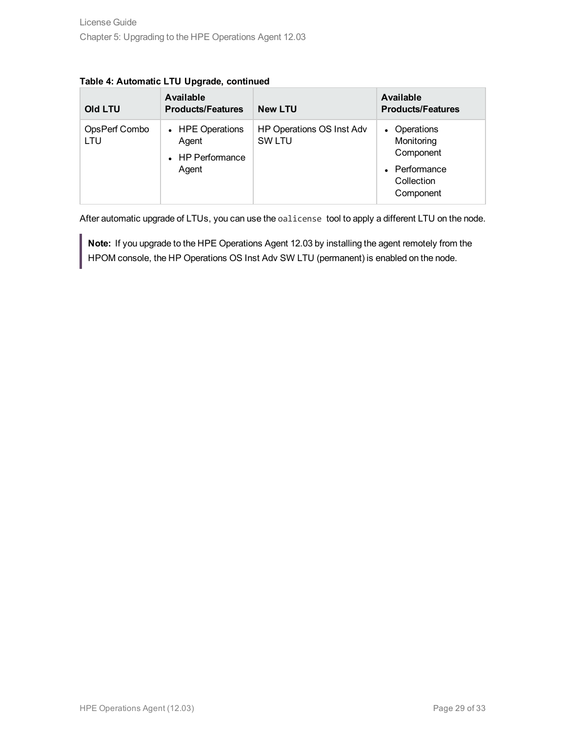| <b>Old LTU</b>       | <b>Available</b><br><b>Products/Features</b>           | <b>New LTU</b>                             | Available<br><b>Products/Features</b>                                               |
|----------------------|--------------------------------------------------------|--------------------------------------------|-------------------------------------------------------------------------------------|
| OpsPerf Combo<br>LTU | • HPE Operations<br>Agent<br>• HP Performance<br>Agent | HP Operations OS Inst Adv<br><b>SW LTU</b> | • Operations<br>Monitoring<br>Component<br>• Performance<br>Collection<br>Component |

#### **Table 4: Automatic LTU Upgrade, continued**

After automatic upgrade of LTUs, you can use the oalicense tool to apply a different LTU on the node.

**Note:** If you upgrade to the HPE Operations Agent 12.03 by installing the agent remotely from the HPOM console, the HP Operations OS Inst Adv SW LTU (permanent) is enabled on the node.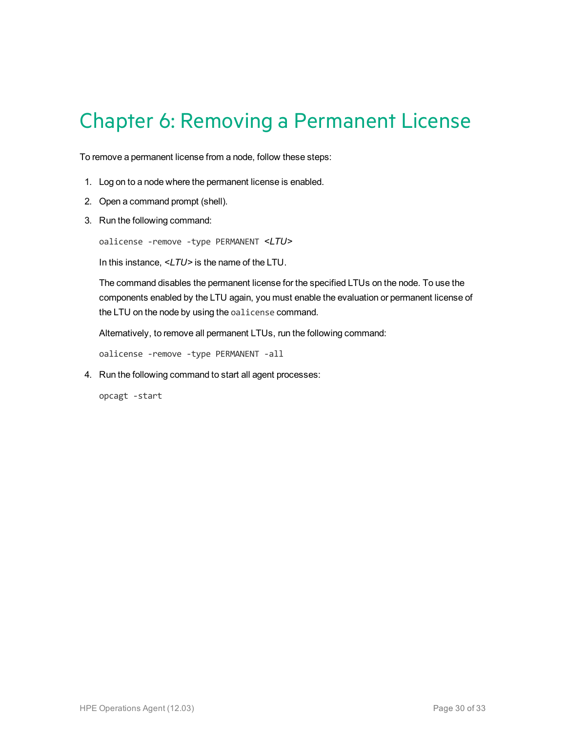## <span id="page-29-0"></span>Chapter 6: Removing a Permanent License

To remove a permanent license from a node, follow these steps:

- 1. Log on to a node where the permanent license is enabled.
- 2. Open a command prompt (shell).
- 3. Run the following command:

oalicense -remove -type PERMANENT *<LTU>*

In this instance, *<LTU>* is the name of the LTU.

The command disables the permanent license for the specified LTUs on the node. To use the components enabled by the LTU again, you must enable the evaluation or permanent license of the LTU on the node by using the oalicense command.

Alternatively, to remove all permanent LTUs, run the following command:

oalicense -remove -type PERMANENT -all

4. Run the following command to start all agent processes:

opcagt -start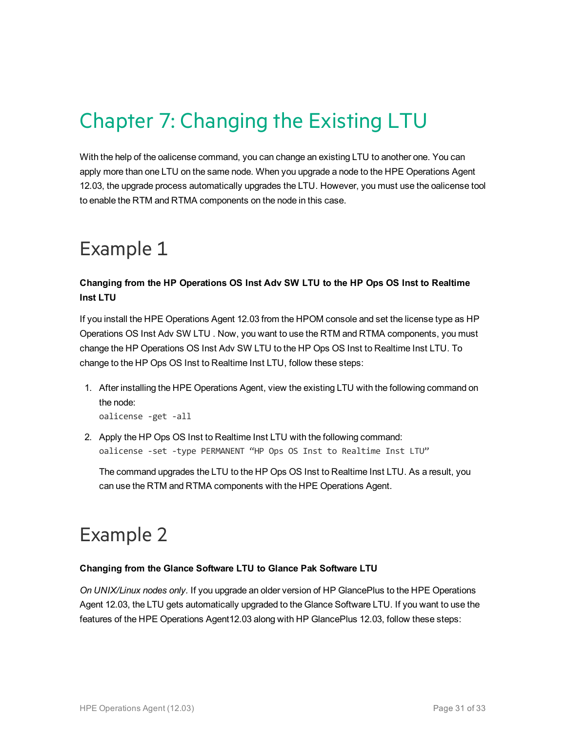# <span id="page-30-0"></span>Chapter 7: Changing the Existing LTU

With the help of the oalicense command, you can change an existing LTU to another one. You can apply more than one LTU on the same node. When you upgrade a node to the HPE Operations Agent 12.03, the upgrade process automatically upgrades the LTU. However, you must use the oalicense tool to enable the RTM and RTMA components on the node in this case.

### <span id="page-30-1"></span>Example 1

#### **Changing from the HP Operations OS Inst Adv SW LTU to the HP Ops OS Inst to Realtime Inst LTU**

If you install the HPE Operations Agent 12.03 from the HPOM console and set the license type as HP Operations OS Inst Adv SW LTU . Now, you want to use the RTM and RTMA components, you must change the HP Operations OS Inst Adv SW LTU to the HP Ops OS Inst to Realtime Inst LTU. To change to the HP Ops OS Inst to Realtime Inst LTU, follow these steps:

1. After installing the HPE Operations Agent, view the existing LTU with the following command on the node:

oalicense -get -all

2. Apply the HP Ops OS Inst to Realtime Inst LTU with the following command: oalicense -set -type PERMANENT "HP Ops OS Inst to Realtime Inst LTU"

The command upgrades the LTU to the HP Ops OS Inst to Realtime Inst LTU. As a result, you can use the RTM and RTMA components with the HPE Operations Agent.

### <span id="page-30-2"></span>Example 2

#### **Changing from the Glance Software LTU to Glance Pak Software LTU**

*On UNIX/Linux nodes only.* If you upgrade an older version of HP GlancePlus to the HPE Operations Agent 12.03, the LTU gets automatically upgraded to the Glance Software LTU. If you want to use the features of the HPE Operations Agent12.03 along with HP GlancePlus 12.03, follow these steps: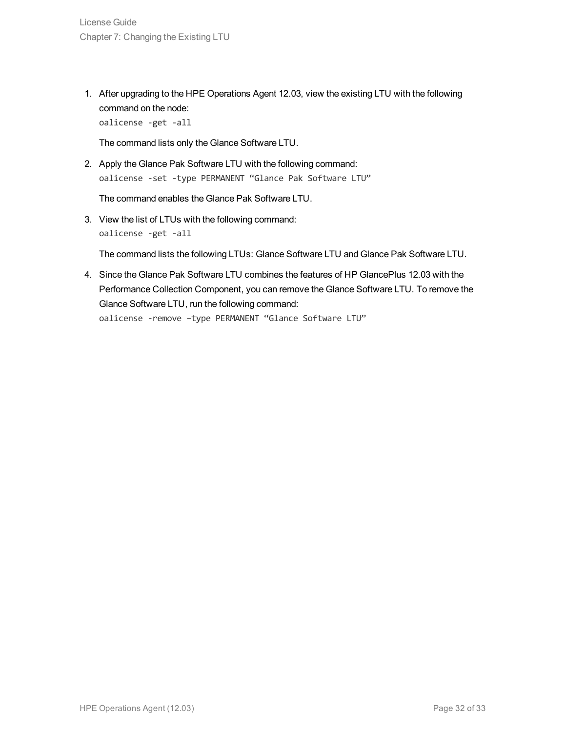1. After upgrading to the HPE Operations Agent 12.03, view the existing LTU with the following command on the node:

oalicense -get -all

The command lists only the Glance Software LTU.

2. Apply the Glance Pak Software LTU with the following command: oalicense -set -type PERMANENT "Glance Pak Software LTU"

The command enables the Glance Pak Software LTU.

3. View the list of LTUs with the following command: oalicense -get -all

The command lists the following LTUs: Glance Software LTU and Glance Pak Software LTU.

4. Since the Glance Pak Software LTU combines the features of HP GlancePlus 12.03 with the Performance Collection Component, you can remove the Glance Software LTU. To remove the Glance Software LTU, run the following command: oalicense -remove –type PERMANENT "Glance Software LTU"